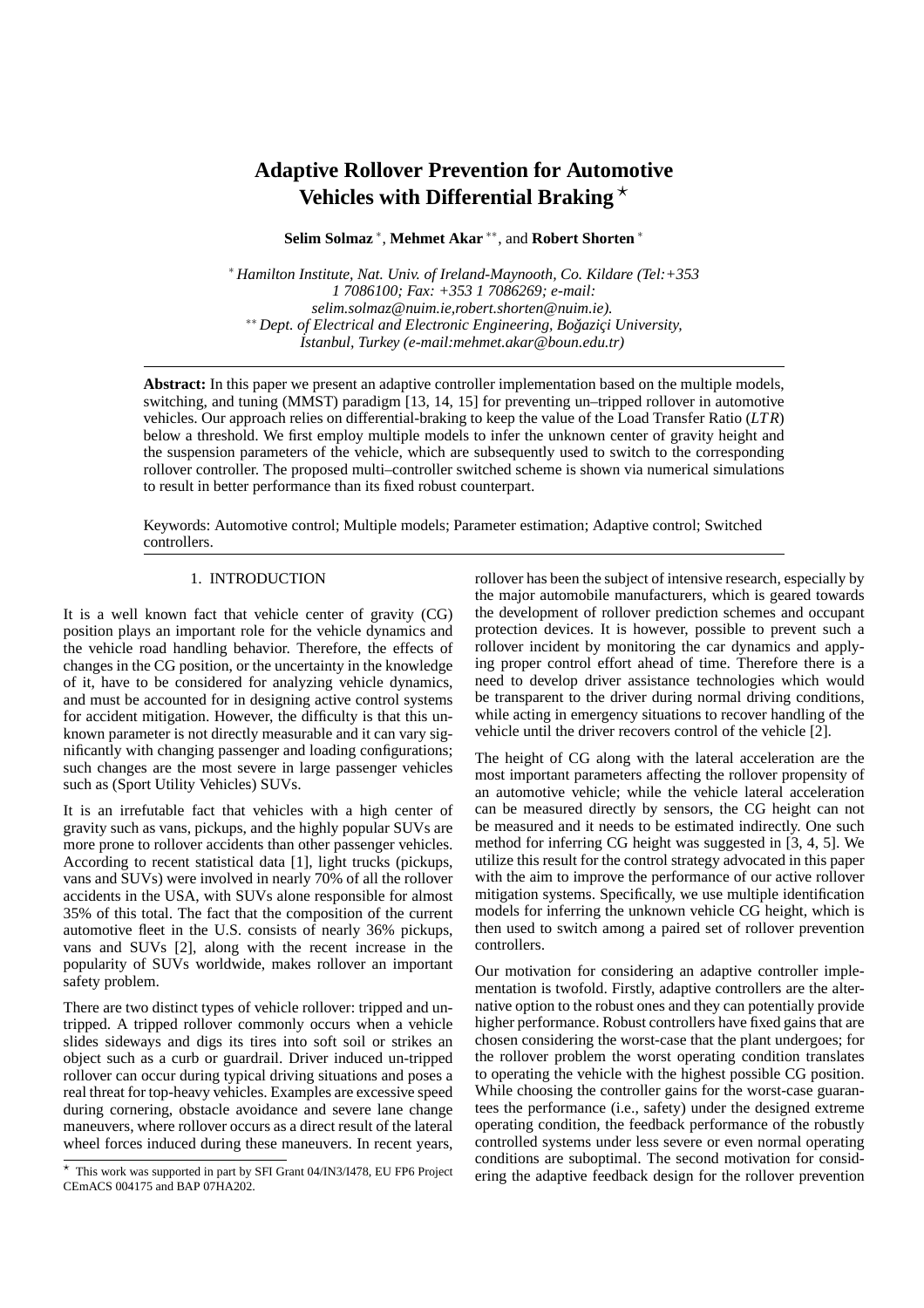# **Adaptive Rollover Prevention for Automotive Vehicles with Differential Braking**  $\star$

**Selim Solmaz** <sup>∗</sup> , **Mehmet Akar** ∗∗, and **Robert Shorten** <sup>∗</sup>

<sup>∗</sup> *Hamilton Institute, Nat. Univ. of Ireland-Maynooth, Co. Kildare (Tel:+353 1 7086100; Fax: +353 1 7086269; e-mail: selim.solmaz@nuim.ie,robert.shorten@nuim.ie).* <sup>∗</sup>\* Dept. of Electrical and Electronic Engineering, Βοğaziçi University, *˙Istanbul, Turkey (e-mail:mehmet.akar@boun.edu.tr)*

**Abstract:** In this paper we present an adaptive controller implementation based on the multiple models, switching, and tuning (MMST) paradigm [13, 14, 15] for preventing un–tripped rollover in automotive vehicles. Our approach relies on differential-braking to keep the value of the Load Transfer Ratio (*LT R*) below a threshold. We first employ multiple models to infer the unknown center of gravity height and the suspension parameters of the vehicle, which are subsequently used to switch to the corresponding rollover controller. The proposed multi–controller switched scheme is shown via numerical simulations to result in better performance than its fixed robust counterpart.

Keywords: Automotive control; Multiple models; Parameter estimation; Adaptive control; Switched controllers.

## 1. INTRODUCTION

It is a well known fact that vehicle center of gravity (CG) position plays an important role for the vehicle dynamics and the vehicle road handling behavior. Therefore, the effects of changes in the CG position, or the uncertainty in the knowledge of it, have to be considered for analyzing vehicle dynamics, and must be accounted for in designing active control systems for accident mitigation. However, the difficulty is that this unknown parameter is not directly measurable and it can vary significantly with changing passenger and loading configurations; such changes are the most severe in large passenger vehicles such as (Sport Utility Vehicles) SUVs.

It is an irrefutable fact that vehicles with a high center of gravity such as vans, pickups, and the highly popular SUVs are more prone to rollover accidents than other passenger vehicles. According to recent statistical data [1], light trucks (pickups, vans and SUVs) were involved in nearly 70% of all the rollover accidents in the USA, with SUVs alone responsible for almost 35% of this total. The fact that the composition of the current automotive fleet in the U.S. consists of nearly 36% pickups, vans and SUVs [2], along with the recent increase in the popularity of SUVs worldwide, makes rollover an important safety problem.

There are two distinct types of vehicle rollover: tripped and untripped. A tripped rollover commonly occurs when a vehicle slides sideways and digs its tires into soft soil or strikes an object such as a curb or guardrail. Driver induced un-tripped rollover can occur during typical driving situations and poses a real threat for top-heavy vehicles. Examples are excessive speed during cornering, obstacle avoidance and severe lane change maneuvers, where rollover occurs as a direct result of the lateral wheel forces induced during these maneuvers. In recent years, rollover has been the subject of intensive research, especially by the major automobile manufacturers, which is geared towards the development of rollover prediction schemes and occupant protection devices. It is however, possible to prevent such a rollover incident by monitoring the car dynamics and applying proper control effort ahead of time. Therefore there is a need to develop driver assistance technologies which would be transparent to the driver during normal driving conditions, while acting in emergency situations to recover handling of the vehicle until the driver recovers control of the vehicle [2].

The height of CG along with the lateral acceleration are the most important parameters affecting the rollover propensity of an automotive vehicle; while the vehicle lateral acceleration can be measured directly by sensors, the CG height can not be measured and it needs to be estimated indirectly. One such method for inferring CG height was suggested in [3, 4, 5]. We utilize this result for the control strategy advocated in this paper with the aim to improve the performance of our active rollover mitigation systems. Specifically, we use multiple identification models for inferring the unknown vehicle CG height, which is then used to switch among a paired set of rollover prevention controllers.

Our motivation for considering an adaptive controller implementation is twofold. Firstly, adaptive controllers are the alternative option to the robust ones and they can potentially provide higher performance. Robust controllers have fixed gains that are chosen considering the worst-case that the plant undergoes; for the rollover problem the worst operating condition translates to operating the vehicle with the highest possible CG position. While choosing the controller gains for the worst-case guarantees the performance (i.e., safety) under the designed extreme operating condition, the feedback performance of the robustly controlled systems under less severe or even normal operating conditions are suboptimal. The second motivation for considering the adaptive feedback design for the rollover prevention

<sup>⋆</sup> This work was supported in part by SFI Grant 04/IN3/I478, EU FP6 Project CEmACS 004175 and BAP 07HA202.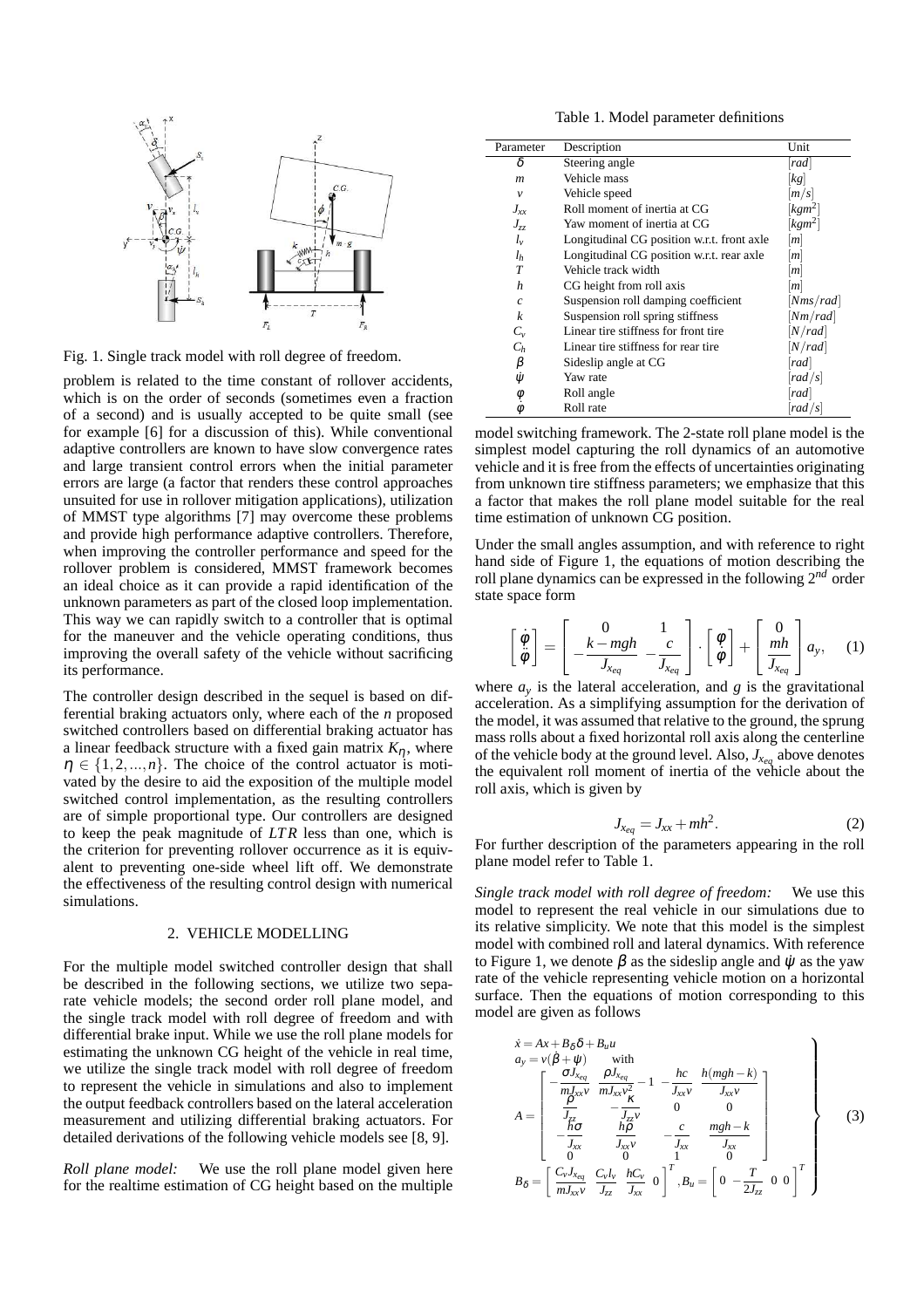

Fig. 1. Single track model with roll degree of freedom.

problem is related to the time constant of rollover accidents, which is on the order of seconds (sometimes even a fraction of a second) and is usually accepted to be quite small (see for example [6] for a discussion of this). While conventional adaptive controllers are known to have slow convergence rates and large transient control errors when the initial parameter errors are large (a factor that renders these control approaches unsuited for use in rollover mitigation applications), utilization of MMST type algorithms [7] may overcome these problems and provide high performance adaptive controllers. Therefore, when improving the controller performance and speed for the rollover problem is considered, MMST framework becomes an ideal choice as it can provide a rapid identification of the unknown parameters as part of the closed loop implementation. This way we can rapidly switch to a controller that is optimal for the maneuver and the vehicle operating conditions, thus improving the overall safety of the vehicle without sacrificing its performance.

The controller design described in the sequel is based on differential braking actuators only, where each of the *n* proposed switched controllers based on differential braking actuator has a linear feedback structure with a fixed gain matrix  $K_n$ , where  $\eta \in \{1, 2, ..., n\}$ . The choice of the control actuator is motivated by the desire to aid the exposition of the multiple model switched control implementation, as the resulting controllers are of simple proportional type. Our controllers are designed to keep the peak magnitude of *LT R* less than one, which is the criterion for preventing rollover occurrence as it is equivalent to preventing one-side wheel lift off. We demonstrate the effectiveness of the resulting control design with numerical simulations.

#### 2. VEHICLE MODELLING

For the multiple model switched controller design that shall be described in the following sections, we utilize two separate vehicle models; the second order roll plane model, and the single track model with roll degree of freedom and with differential brake input. While we use the roll plane models for estimating the unknown CG height of the vehicle in real time, we utilize the single track model with roll degree of freedom to represent the vehicle in simulations and also to implement the output feedback controllers based on the lateral acceleration measurement and utilizing differential braking actuators. For detailed derivations of the following vehicle models see [8, 9].

*Roll plane model:* We use the roll plane model given here for the realtime estimation of CG height based on the multiple

Table 1. Model parameter definitions

| Parameter              | Description                                | Unit                 |
|------------------------|--------------------------------------------|----------------------|
| δ                      | Steering angle                             | rad                  |
| $\boldsymbol{m}$       | Vehicle mass                               | $\left[kg\right]$    |
| $\mathcal V$           | Vehicle speed                              | m/s                  |
| $J_{xx}$               | Roll moment of inertia at CG               | $[kgm^2]$            |
| $J_{zz}$               | Yaw moment of inertia at CG                | $\left[kgm^2\right]$ |
| $l_{\nu}$              | Longitudinal CG position w.r.t. front axle | m                    |
| $l_h$                  | Longitudinal CG position w.r.t. rear axle  | m                    |
| T                      | Vehicle track width                        | m                    |
| h                      | CG height from roll axis                   | m                    |
| $\mathcal{C}_{0}$      | Suspension roll damping coefficient        | [Nms/rad]            |
| k                      | Suspension roll spring stiffness           | [Nm/rad]             |
| $C_{\nu}$              | Linear tire stiffness for front tire       | [N/rad]              |
| $C_h$                  | Linear tire stiffness for rear tire        | [N/rad]              |
| β                      | Sideslip angle at CG                       | rad                  |
| ψ                      | Yaw rate                                   | rad/s                |
|                        | Roll angle                                 | rad                  |
| $\phi$<br>$\dot{\phi}$ | Roll rate                                  | rad/s                |

model switching framework. The 2-state roll plane model is the simplest model capturing the roll dynamics of an automotive vehicle and it is free from the effects of uncertainties originating from unknown tire stiffness parameters; we emphasize that this a factor that makes the roll plane model suitable for the real time estimation of unknown CG position.

Under the small angles assumption, and with reference to right hand side of Figure 1, the equations of motion describing the roll plane dynamics can be expressed in the following 2*nd* order state space form

$$
\begin{bmatrix} \dot{\phi} \\ \ddot{\phi} \end{bmatrix} = \begin{bmatrix} 0 & 1 \\ -\frac{k - mgh}{J_{x_{eq}}} & -\frac{c}{J_{x_{eq}}} \end{bmatrix} \cdot \begin{bmatrix} \phi \\ \dot{\phi} \end{bmatrix} + \begin{bmatrix} 0 \\ \frac{mh}{J_{x_{eq}}} \end{bmatrix} a_{y}, \quad (1)
$$

where  $a_y$  is the lateral acceleration, and  $g$  is the gravitational acceleration. As a simplifying assumption for the derivation of the model, it was assumed that relative to the ground, the sprung mass rolls about a fixed horizontal roll axis along the centerline of the vehicle body at the ground level. Also,  $J_{X_{eq}}$  above denotes the equivalent roll moment of inertia of the vehicle about the roll axis, which is given by

$$
J_{x_{eq}} = J_{xx} + mh^2. \tag{2}
$$

For further description of the parameters appearing in the roll plane model refer to Table 1.

*Single track model with roll degree of freedom:* We use this model to represent the real vehicle in our simulations due to its relative simplicity. We note that this model is the simplest model with combined roll and lateral dynamics. With reference to Figure 1, we denote  $\beta$  as the sideslip angle and  $\dot{\psi}$  as the yaw rate of the vehicle representing vehicle motion on a horizontal surface. Then the equations of motion corresponding to this model are given as follows

$$
\dot{x} = Ax + B_{\delta} \delta + B_{u} u
$$
\n
$$
a_{y} = v(\dot{\beta} + \dot{\psi}) \quad \text{with}
$$
\n
$$
A = \begin{bmatrix}\n-\frac{\sigma J_{x_{eq}}}{m J_{xx} v} & \frac{\rho J_{x_{eq}}}{m J_{xx} v^{2}} - 1 & -\frac{hc}{J_{xx} v} & \frac{h(mgh - k)}{J_{xx} v} \\
\frac{\rho}{m} & -\frac{\kappa}{J_{zz}} & 0 & 0 \\
-\frac{h\sigma}{J_{xx}} & \frac{h\rho}{J_{xx} v} & -\frac{c}{J_{xx}} & \frac{mgh - k}{J_{xx}} \\
0 & 0 & 0 & 0 \\
0 & 0 & 0 & 0\n\end{bmatrix}
$$
\n
$$
B_{\delta} = \begin{bmatrix}\nC_{v} J_{x_{eq}} & C_{v} l_{v} & hC_{v} \\
m J_{xx} v & J_{zz} & 0\n\end{bmatrix}^{T}, B_{u} = \begin{bmatrix}\n0 & -\frac{T}{2J_{zz}} & 0 & 0\n\end{bmatrix}^{T}\n\end{bmatrix}
$$
\n(3)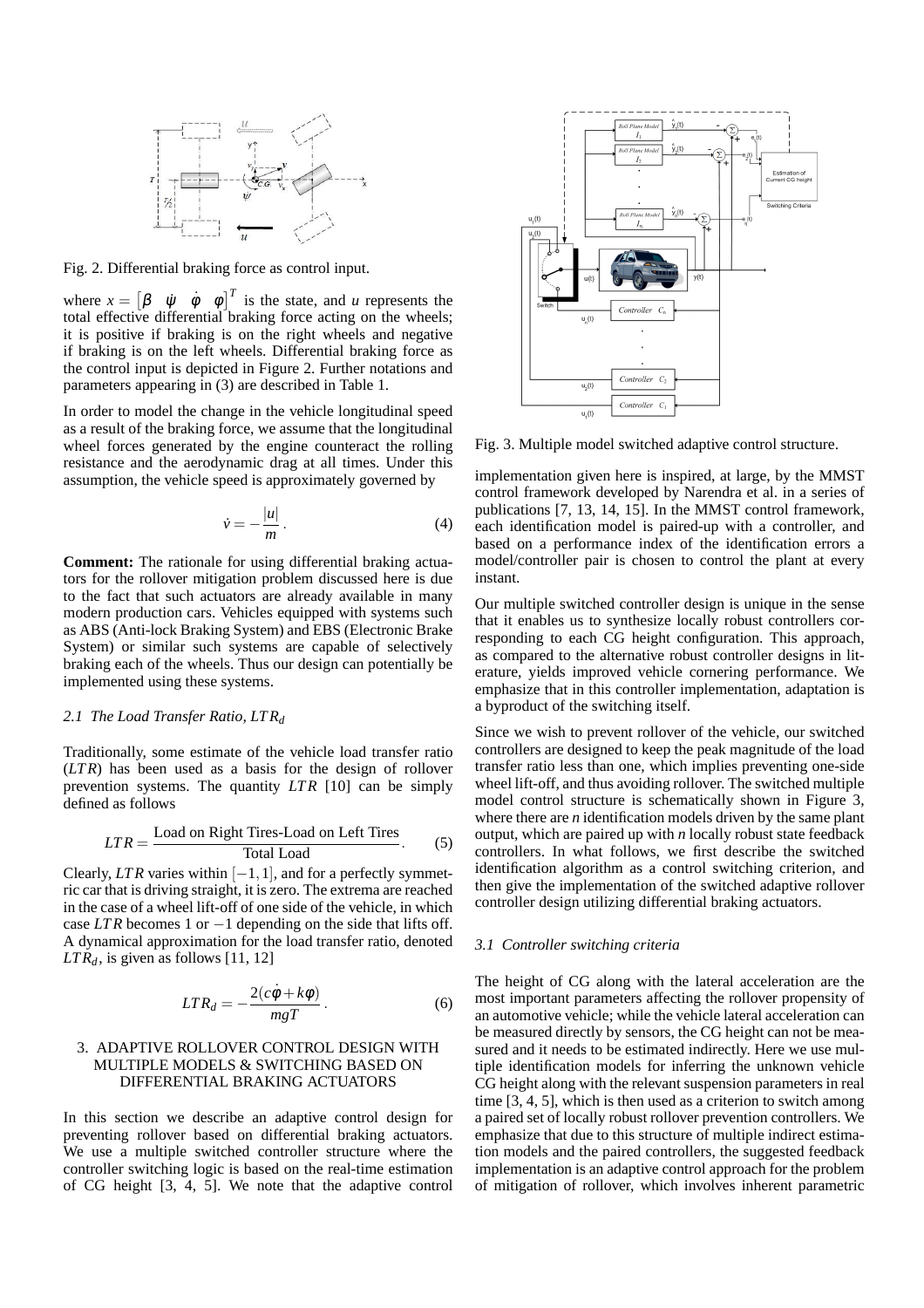

Fig. 2. Differential braking force as control input.

where  $x = \begin{bmatrix} \beta & \psi & \dot{\phi} & \phi \end{bmatrix}^T$  is the state, and *u* represents the total effective differential braking force acting on the wheels; it is positive if braking is on the right wheels and negative if braking is on the left wheels. Differential braking force as the control input is depicted in Figure 2. Further notations and parameters appearing in (3) are described in Table 1.

In order to model the change in the vehicle longitudinal speed as a result of the braking force, we assume that the longitudinal wheel forces generated by the engine counteract the rolling resistance and the aerodynamic drag at all times. Under this assumption, the vehicle speed is approximately governed by

$$
\dot{\nu} = -\frac{|u|}{m}.
$$
\n(4)

**Comment:** The rationale for using differential braking actuators for the rollover mitigation problem discussed here is due to the fact that such actuators are already available in many modern production cars. Vehicles equipped with systems such as ABS (Anti-lock Braking System) and EBS (Electronic Brake System) or similar such systems are capable of selectively braking each of the wheels. Thus our design can potentially be implemented using these systems.

#### *2.1 The Load Transfer Ratio, LT R<sup>d</sup>*

Traditionally, some estimate of the vehicle load transfer ratio (*LT R*) has been used as a basis for the design of rollover prevention systems. The quantity *LT R* [10] can be simply defined as follows

$$
LTR = \frac{\text{Load on Right Tires-Load on Left Tires}}{\text{Total Load}}.\tag{5}
$$

Clearly, *LTR* varies within  $[-1,1]$ , and for a perfectly symmetric car that is driving straight, it is zero. The extrema are reached in the case of a wheel lift-off of one side of the vehicle, in which case *LT R* becomes 1 or −1 depending on the side that lifts off. A dynamical approximation for the load transfer ratio, denoted  $LTR_d$ , is given as follows [11, 12]

$$
LTR_d = -\frac{2(c\dot{\phi} + k\phi)}{mgT}.
$$
 (6)

# 3. ADAPTIVE ROLLOVER CONTROL DESIGN WITH MULTIPLE MODELS & SWITCHING BASED ON DIFFERENTIAL BRAKING ACTUATORS

In this section we describe an adaptive control design for preventing rollover based on differential braking actuators. We use a multiple switched controller structure where the controller switching logic is based on the real-time estimation of CG height [3, 4, 5]. We note that the adaptive control



Fig. 3. Multiple model switched adaptive control structure.

implementation given here is inspired, at large, by the MMST control framework developed by Narendra et al. in a series of publications [7, 13, 14, 15]. In the MMST control framework, each identification model is paired-up with a controller, and based on a performance index of the identification errors a model/controller pair is chosen to control the plant at every instant.

Our multiple switched controller design is unique in the sense that it enables us to synthesize locally robust controllers corresponding to each CG height configuration. This approach, as compared to the alternative robust controller designs in literature, yields improved vehicle cornering performance. We emphasize that in this controller implementation, adaptation is a byproduct of the switching itself.

Since we wish to prevent rollover of the vehicle, our switched controllers are designed to keep the peak magnitude of the load transfer ratio less than one, which implies preventing one-side wheel lift-off, and thus avoiding rollover. The switched multiple model control structure is schematically shown in Figure 3, where there are *n* identification models driven by the same plant output, which are paired up with *n* locally robust state feedback controllers. In what follows, we first describe the switched identification algorithm as a control switching criterion, and then give the implementation of the switched adaptive rollover controller design utilizing differential braking actuators.

#### *3.1 Controller switching criteria*

The height of CG along with the lateral acceleration are the most important parameters affecting the rollover propensity of an automotive vehicle; while the vehicle lateral acceleration can be measured directly by sensors, the CG height can not be measured and it needs to be estimated indirectly. Here we use multiple identification models for inferring the unknown vehicle CG height along with the relevant suspension parameters in real time [3, 4, 5], which is then used as a criterion to switch among a paired set of locally robust rollover prevention controllers. We emphasize that due to this structure of multiple indirect estimation models and the paired controllers, the suggested feedback implementation is an adaptive control approach for the problem of mitigation of rollover, which involves inherent parametric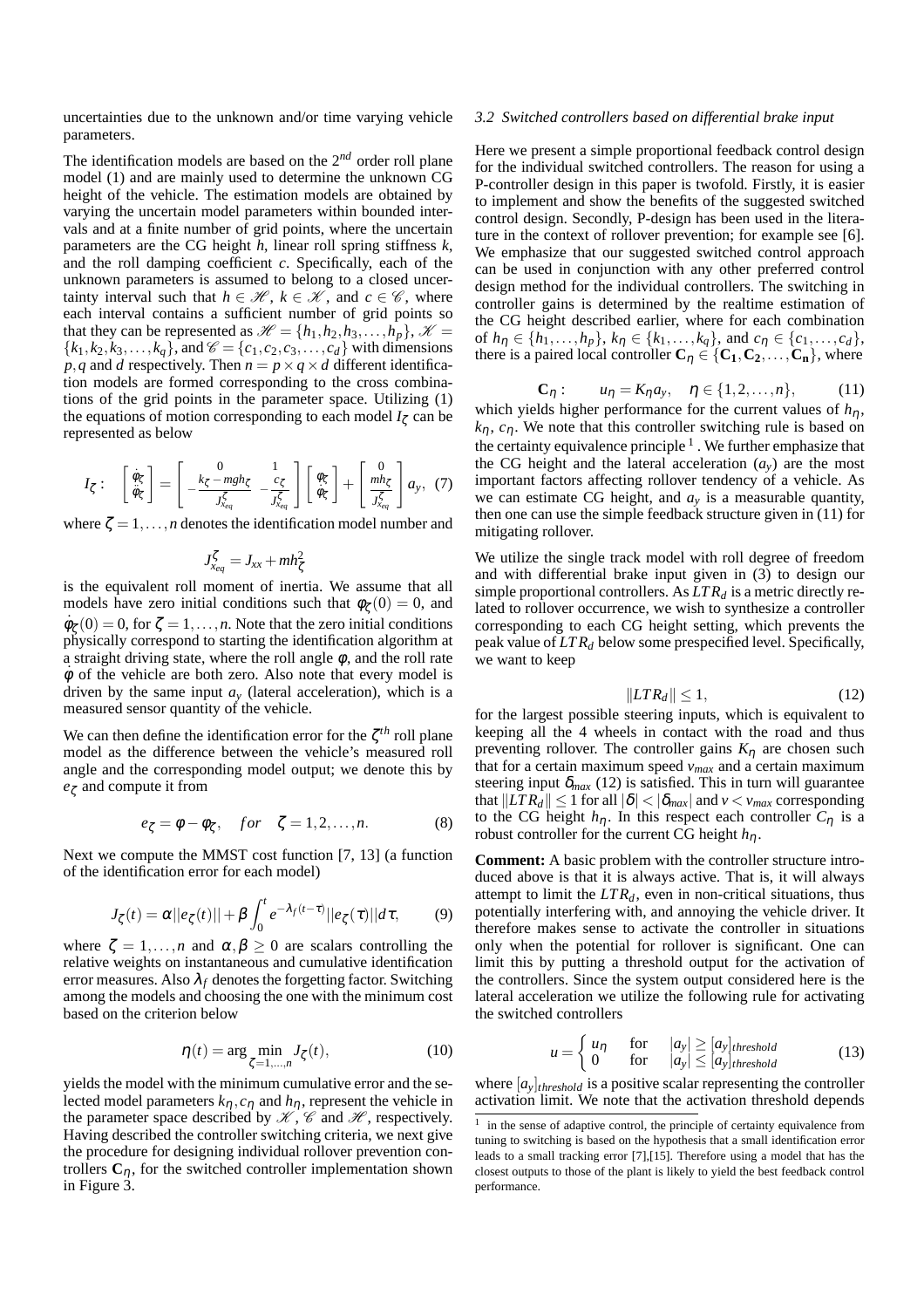uncertainties due to the unknown and/or time varying vehicle parameters.

The identification models are based on the 2*nd* order roll plane model (1) and are mainly used to determine the unknown CG height of the vehicle. The estimation models are obtained by varying the uncertain model parameters within bounded intervals and at a finite number of grid points, where the uncertain parameters are the CG height *h*, linear roll spring stiffness *k*, and the roll damping coefficient *c*. Specifically, each of the unknown parameters is assumed to belong to a closed uncertainty interval such that  $h \in \mathcal{H}$ ,  $k \in \mathcal{K}$ , and  $c \in \mathcal{C}$ , where each interval contains a sufficient number of grid points so that they can be represented as  $\mathcal{H} = \{h_1, h_2, h_3, \ldots, h_p\}, \mathcal{K} =$  ${k_1, k_2, k_3, \ldots, k_q}$ , and  $\mathcal{C} = {c_1, c_2, c_3, \ldots, c_d}$  with dimensions *p*,*q* and *d* respectively. Then  $n = p \times q \times d$  different identification models are formed corresponding to the cross combinations of the grid points in the parameter space. Utilizing (1) the equations of motion corresponding to each model  $I_\zeta$  can be represented as below

$$
I_{\zeta}: \begin{bmatrix} \dot{\phi}_{\zeta} \\ \ddot{\phi}_{\zeta} \end{bmatrix} = \begin{bmatrix} 0 & 1 \\ -\frac{k_{\zeta} - mgh_{\zeta}}{J_{x_{eq}}^{\zeta}} & -\frac{c_{\zeta}}{J_{x_{eq}}^{\zeta}} \end{bmatrix} \begin{bmatrix} \phi_{\zeta} \\ \dot{\phi}_{\zeta} \end{bmatrix} + \begin{bmatrix} 0 \\ \frac{m h_{\zeta}}{J_{x_{eq}}^{\zeta}} \end{bmatrix} a_{y}, (7)
$$

where  $\zeta = 1, \ldots, n$  denotes the identification model number and

$$
J_{x_{eq}}^{\zeta} = J_{xx} + mh_{\zeta}^2
$$

is the equivalent roll moment of inertia. We assume that all models have zero initial conditions such that  $\phi_{\zeta}(0) = 0$ , and  $\dot{\phi}_{\zeta}(0) = 0$ , for  $\zeta = 1, \ldots, n$ . Note that the zero initial conditions physically correspond to starting the identification algorithm at a straight driving state, where the roll angle  $\phi$ , and the roll rate  $\dot{\phi}$  of the vehicle are both zero. Also note that every model is driven by the same input  $a<sub>y</sub>$  (lateral acceleration), which is a measured sensor quantity of the vehicle.

We can then define the identification error for the ζ *th* roll plane model as the difference between the vehicle's measured roll angle and the corresponding model output; we denote this by *e*<sup>ζ</sup> and compute it from

$$
e_{\zeta} = \phi - \phi_{\zeta}, \quad for \quad \zeta = 1, 2, \dots, n. \tag{8}
$$

Next we compute the MMST cost function [7, 13] (a function of the identification error for each model)

$$
J_{\zeta}(t) = \alpha ||e_{\zeta}(t)|| + \beta \int_0^t e^{-\lambda_f(t-\tau)} ||e_{\zeta}(\tau)|| d\tau, \qquad (9)
$$

where  $\zeta = 1, \ldots, n$  and  $\alpha, \beta \geq 0$  are scalars controlling the relative weights on instantaneous and cumulative identification error measures. Also  $\lambda_f$  denotes the forgetting factor. Switching among the models and choosing the one with the minimum cost based on the criterion below

$$
\eta(t) = \arg\min_{\zeta=1,\dots,n} J_{\zeta}(t),\tag{10}
$$

yields the model with the minimum cumulative error and the selected model parameters  $k_n$ ,  $c_n$  and  $h_n$ , represent the vehicle in the parameter space described by  $\mathcal{K}, \mathcal{C}$  and  $\mathcal{H}$ , respectively. Having described the controller switching criteria, we next give the procedure for designing individual rollover prevention controllers  $C_n$ , for the switched controller implementation shown in Figure 3.

### *3.2 Switched controllers based on differential brake input*

Here we present a simple proportional feedback control design for the individual switched controllers. The reason for using a P-controller design in this paper is twofold. Firstly, it is easier to implement and show the benefits of the suggested switched control design. Secondly, P-design has been used in the literature in the context of rollover prevention; for example see [6]. We emphasize that our suggested switched control approach can be used in conjunction with any other preferred control design method for the individual controllers. The switching in controller gains is determined by the realtime estimation of the CG height described earlier, where for each combination of  $h_{\eta} \in \{h_1, \ldots, h_p\}$ ,  $k_{\eta} \in \{k_1, \ldots, k_q\}$ , and  $c_{\eta} \in \{c_1, \ldots, c_d\}$ , there is a paired local controller  $C_{\eta} \in \{C_1, C_2, \ldots, C_n\}$ , where

$$
C_{\eta}: \qquad u_{\eta} = K_{\eta} a_{y}, \quad \eta \in \{1, 2, ..., n\}, \tag{11}
$$

which yields higher performance for the current values of  $h_{\eta}$ ,  $k_n$ ,  $c_n$ . We note that this controller switching rule is based on the certainty equivalence principle  $<sup>1</sup>$ . We further emphasize that</sup> the CG height and the lateral acceleration  $(a_v)$  are the most important factors affecting rollover tendency of a vehicle. As we can estimate CG height, and  $a<sub>y</sub>$  is a measurable quantity, then one can use the simple feedback structure given in (11) for mitigating rollover.

We utilize the single track model with roll degree of freedom and with differential brake input given in (3) to design our simple proportional controllers. As  $LTR_d$  is a metric directly related to rollover occurrence, we wish to synthesize a controller corresponding to each CG height setting, which prevents the peak value of *LT R<sup>d</sup>* below some prespecified level. Specifically, we want to keep

$$
||LTR_d|| \le 1,\tag{12}
$$

for the largest possible steering inputs, which is equivalent to keeping all the 4 wheels in contact with the road and thus preventing rollover. The controller gains  $K_n$  are chosen such that for a certain maximum speed *vmax* and a certain maximum steering input  $\delta_{max}$  (12) is satisfied. This in turn will guarantee that  $||LT R_d|| \le 1$  for all  $|\delta| < |\delta_{max}|$  and  $v < v_{max}$  corresponding to the CG height  $h_{\eta}$ . In this respect each controller  $C_{\eta}$  is a robust controller for the current CG height *h*η.

**Comment:** A basic problem with the controller structure introduced above is that it is always active. That is, it will always attempt to limit the  $LTR_d$ , even in non-critical situations, thus potentially interfering with, and annoying the vehicle driver. It therefore makes sense to activate the controller in situations only when the potential for rollover is significant. One can limit this by putting a threshold output for the activation of the controllers. Since the system output considered here is the lateral acceleration we utilize the following rule for activating the switched controllers

$$
u = \begin{cases} u_{\eta} & \text{for} \quad |a_{y}| \ge [a_{y}]_{threshold} \\ 0 & \text{for} \quad |a_{y}| \le [a_{y}]_{threshold} \end{cases}
$$
(13)

where  $[a_y]_{threshold}$  is a positive scalar representing the controller activation limit. We note that the activation threshold depends

<sup>1</sup> in the sense of adaptive control, the principle of certainty equivalence from tuning to switching is based on the hypothesis that a small identification error leads to a small tracking error [7],[15]. Therefore using a model that has the closest outputs to those of the plant is likely to yield the best feedback control performance.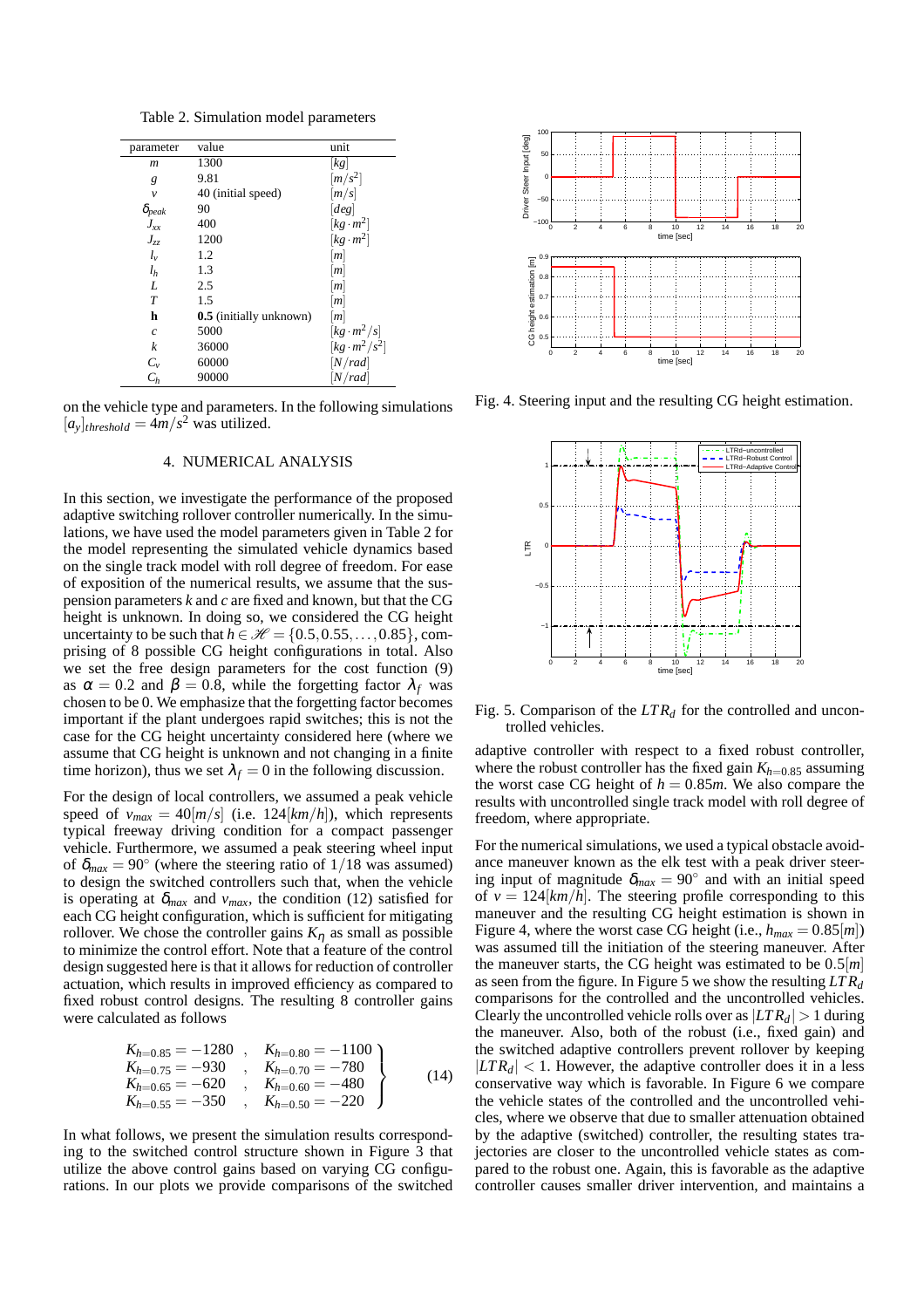Table 2. Simulation model parameters

| parameter       | value                   | unit                             |
|-----------------|-------------------------|----------------------------------|
| m               | 1300                    | $\lceil k g \rceil$              |
| g               | 9.81                    | $\left\lceil m/s^2 \right\rceil$ |
| $\mathcal V$    | 40 (initial speed)      | [m/s]                            |
| $\delta_{peak}$ | 90                      | [deg]                            |
| $J_{xx}$        | 400                     | $[kg \cdot m^2]$                 |
| $J_{zz}$        | 1200                    | $[kg \cdot m^2]$                 |
| $l_{\nu}$       | 1.2                     | m                                |
| l <sub>h</sub>  | 1.3                     | m                                |
| L               | 2.5                     | m                                |
| T               | 1.5                     | [m]                              |
| h               | 0.5 (initially unknown) | m                                |
| $\overline{c}$  | 5000                    | $\left[kg\cdot m^2/s\right]$     |
| k               | 36000                   | $[kg \cdot m^2/s^2]$             |
| $C_v$           | 60000                   | [N/rad]                          |
| $C_h$           | 90000                   | [N/rad]                          |

on the vehicle type and parameters. In the following simulations  $[a_y]$ <sub>threshold</sub> =  $4m/s^2$  was utilized.

#### 4. NUMERICAL ANALYSIS

In this section, we investigate the performance of the proposed adaptive switching rollover controller numerically. In the simulations, we have used the model parameters given in Table 2 for the model representing the simulated vehicle dynamics based on the single track model with roll degree of freedom. For ease of exposition of the numerical results, we assume that the suspension parameters *k* and *c* are fixed and known, but that the CG height is unknown. In doing so, we considered the CG height uncertainty to be such that  $h \in \mathcal{H} = \{0.5, 0.55, \ldots, 0.85\}$ , comprising of 8 possible CG height configurations in total. Also we set the free design parameters for the cost function (9) as  $\alpha = 0.2$  and  $\beta = 0.8$ , while the forgetting factor  $\lambda_f$  was chosen to be 0. We emphasize that the forgetting factor becomes important if the plant undergoes rapid switches; this is not the case for the CG height uncertainty considered here (where we assume that CG height is unknown and not changing in a finite time horizon), thus we set  $\lambda_f = 0$  in the following discussion.

For the design of local controllers, we assumed a peak vehicle speed of  $v_{max} = 40[m/s]$  (i.e. 124 $[km/h]$ ), which represents typical freeway driving condition for a compact passenger vehicle. Furthermore, we assumed a peak steering wheel input of  $\delta_{max} = 90^\circ$  (where the steering ratio of 1/18 was assumed) to design the switched controllers such that, when the vehicle is operating at  $\delta_{max}$  and  $v_{max}$ , the condition (12) satisfied for each CG height configuration, which is sufficient for mitigating rollover. We chose the controller gains  $K_{\eta}$  as small as possible to minimize the control effort. Note that a feature of the control design suggested here is that it allows for reduction of controller actuation, which results in improved efficiency as compared to fixed robust control designs. The resulting 8 controller gains were calculated as follows

$$
K_{h=0.85} = -1280 , K_{h=0.80} = -1100 K_{h=0.75} = -930 , K_{h=0.70} = -780 K_{h=0.65} = -620 , K_{h=0.60} = -480 K_{h=0.55} = -350 , K_{h=0.50} = -220
$$
 (14)

In what follows, we present the simulation results corresponding to the switched control structure shown in Figure 3 that utilize the above control gains based on varying CG configurations. In our plots we provide comparisons of the switched



Fig. 4. Steering input and the resulting CG height estimation.



Fig. 5. Comparison of the *LT R<sup>d</sup>* for the controlled and uncontrolled vehicles.

adaptive controller with respect to a fixed robust controller, where the robust controller has the fixed gain  $K_{h=0.85}$  assuming the worst case CG height of  $h = 0.85m$ . We also compare the results with uncontrolled single track model with roll degree of freedom, where appropriate.

For the numerical simulations, we used a typical obstacle avoidance maneuver known as the elk test with a peak driver steering input of magnitude  $\delta_{max} = 90^\circ$  and with an initial speed of  $v = 124[km/h]$ . The steering profile corresponding to this maneuver and the resulting CG height estimation is shown in Figure 4, where the worst case CG height (i.e.,  $h_{max} = 0.85[m]$ ) was assumed till the initiation of the steering maneuver. After the maneuver starts, the CG height was estimated to be 0.5[*m*] as seen from the figure. In Figure 5 we show the resulting *LT R<sup>d</sup>* comparisons for the controlled and the uncontrolled vehicles. Clearly the uncontrolled vehicle rolls over as  $|LTR_d| > 1$  during the maneuver. Also, both of the robust (i.e., fixed gain) and the switched adaptive controllers prevent rollover by keeping  $|LT R_d|$  < 1. However, the adaptive controller does it in a less conservative way which is favorable. In Figure 6 we compare the vehicle states of the controlled and the uncontrolled vehicles, where we observe that due to smaller attenuation obtained by the adaptive (switched) controller, the resulting states trajectories are closer to the uncontrolled vehicle states as compared to the robust one. Again, this is favorable as the adaptive controller causes smaller driver intervention, and maintains a